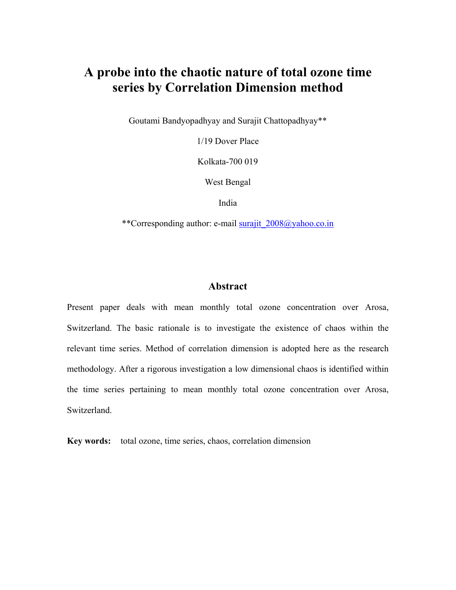# **A probe into the chaotic nature of total ozone time series by Correlation Dimension method**

Goutami Bandyopadhyay and Surajit Chattopadhyay\*\*

1/19 Dover Place

Kolkata-700 019

West Bengal

India

\*\*Corresponding author: e-mail [surajit\\_2008@yahoo.co.in](mailto:surajit_2008@yahoo.co.in)

### **Abstract**

Present paper deals with mean monthly total ozone concentration over Arosa, Switzerland. The basic rationale is to investigate the existence of chaos within the relevant time series. Method of correlation dimension is adopted here as the research methodology. After a rigorous investigation a low dimensional chaos is identified within the time series pertaining to mean monthly total ozone concentration over Arosa, Switzerland.

**Key words:** total ozone, time series, chaos, correlation dimension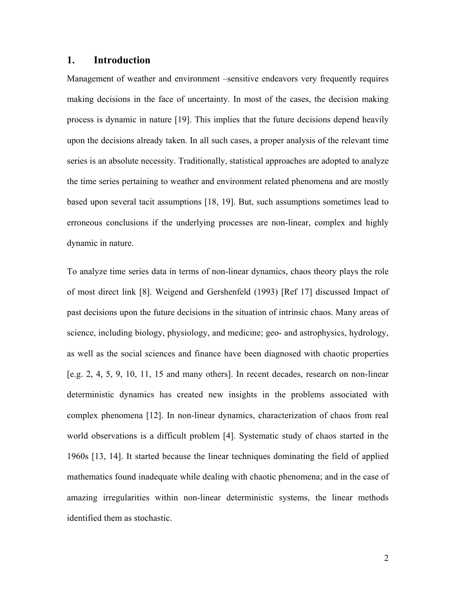### **1. Introduction**

Management of weather and environment –sensitive endeavors very frequently requires making decisions in the face of uncertainty. In most of the cases, the decision making process is dynamic in nature [19]. This implies that the future decisions depend heavily upon the decisions already taken. In all such cases, a proper analysis of the relevant time series is an absolute necessity. Traditionally, statistical approaches are adopted to analyze the time series pertaining to weather and environment related phenomena and are mostly based upon several tacit assumptions [18, 19]. But, such assumptions sometimes lead to erroneous conclusions if the underlying processes are non-linear, complex and highly dynamic in nature.

To analyze time series data in terms of non-linear dynamics, chaos theory plays the role of most direct link [8]. Weigend and Gershenfeld (1993) [Ref 17] discussed Impact of past decisions upon the future decisions in the situation of intrinsic chaos. Many areas of science, including biology, physiology, and medicine; geo- and astrophysics, hydrology, as well as the social sciences and finance have been diagnosed with chaotic properties [e.g. 2, 4, 5, 9, 10, 11, 15 and many others]. In recent decades, research on non-linear deterministic dynamics has created new insights in the problems associated with complex phenomena [12]. In non-linear dynamics, characterization of chaos from real world observations is a difficult problem [4]. Systematic study of chaos started in the 1960s [13, 14]. It started because the linear techniques dominating the field of applied mathematics found inadequate while dealing with chaotic phenomena; and in the case of amazing irregularities within non-linear deterministic systems, the linear methods identified them as stochastic.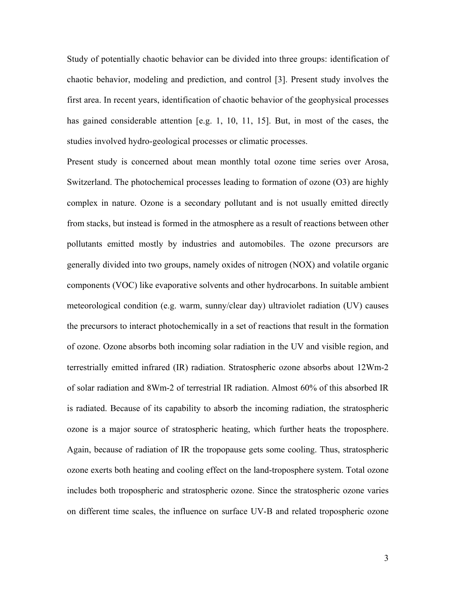Study of potentially chaotic behavior can be divided into three groups: identification of chaotic behavior, modeling and prediction, and control [3]. Present study involves the first area. In recent years, identification of chaotic behavior of the geophysical processes has gained considerable attention [e.g. 1, 10, 11, 15]. But, in most of the cases, the studies involved hydro-geological processes or climatic processes.

Present study is concerned about mean monthly total ozone time series over Arosa, Switzerland. The photochemical processes leading to formation of ozone (O3) are highly complex in nature. Ozone is a secondary pollutant and is not usually emitted directly from stacks, but instead is formed in the atmosphere as a result of reactions between other pollutants emitted mostly by industries and automobiles. The ozone precursors are generally divided into two groups, namely oxides of nitrogen (NOX) and volatile organic components (VOC) like evaporative solvents and other hydrocarbons. In suitable ambient meteorological condition (e.g. warm, sunny/clear day) ultraviolet radiation (UV) causes the precursors to interact photochemically in a set of reactions that result in the formation of ozone. Ozone absorbs both incoming solar radiation in the UV and visible region, and terrestrially emitted infrared (IR) radiation. Stratospheric ozone absorbs about 12Wm-2 of solar radiation and 8Wm-2 of terrestrial IR radiation. Almost 60% of this absorbed IR is radiated. Because of its capability to absorb the incoming radiation, the stratospheric ozone is a major source of stratospheric heating, which further heats the troposphere. Again, because of radiation of IR the tropopause gets some cooling. Thus, stratospheric ozone exerts both heating and cooling effect on the land-troposphere system. Total ozone includes both tropospheric and stratospheric ozone. Since the stratospheric ozone varies on different time scales, the influence on surface UV-B and related tropospheric ozone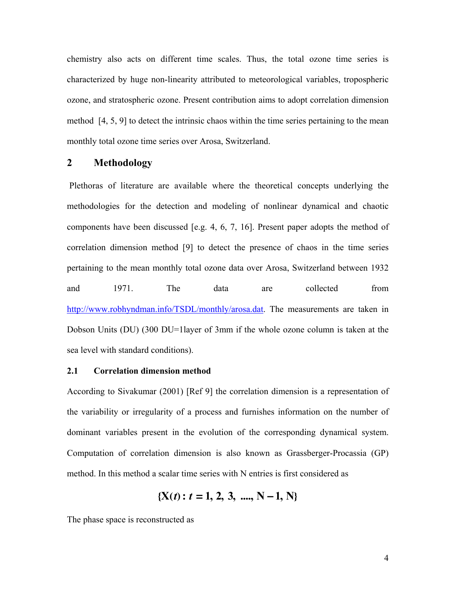chemistry also acts on different time scales. Thus, the total ozone time series is characterized by huge non-linearity attributed to meteorological variables, tropospheric ozone, and stratospheric ozone. Present contribution aims to adopt correlation dimension method [4, 5, 9] to detect the intrinsic chaos within the time series pertaining to the mean monthly total ozone time series over Arosa, Switzerland.

### **2 Methodology**

Plethoras of literature are available where the theoretical concepts underlying the methodologies for the detection and modeling of nonlinear dynamical and chaotic components have been discussed [e.g. 4, 6, 7, 16]. Present paper adopts the method of correlation dimension method [9] to detect the presence of chaos in the time series pertaining to the mean monthly total ozone data over Arosa, Switzerland between 1932 and 1971. The data are collected from http://www.robhyndman.info/TSDL/monthly/arosa.dat. The measurements are taken in Dobson Units (DU) (300 DU=1 layer of 3mm if the whole ozone column is taken at the sea level with standard conditions).

### **2.1 Correlation dimension method**

According to Sivakumar (2001) [Ref 9] the correlation dimension is a representation of the variability or irregularity of a process and furnishes information on the number of dominant variables present in the evolution of the corresponding dynamical system. Computation of correlation dimension is also known as Grassberger-Procassia (GP) method. In this method a scalar time series with N entries is first considered as

$$
\{X(t): t=1, 2, 3, \dots, N-1, N\}
$$

The phase space is reconstructed as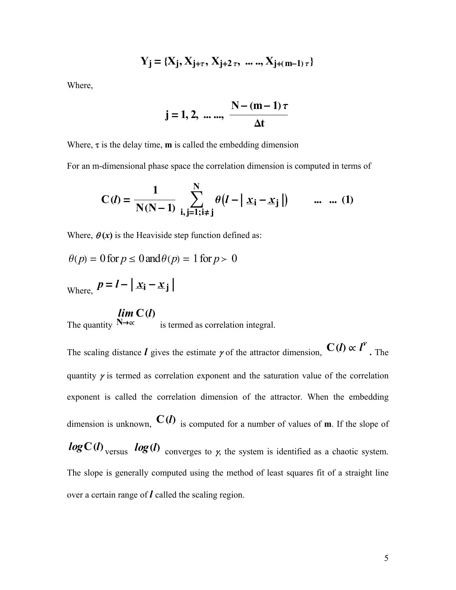$$
Y_j = \{X_j, X_{j+\tau}, X_{j+2\tau}, ..., X_{j+(m-1)\tau}\}
$$

Where,

$$
j = 1, 2, ..., \frac{N - (m-1)\tau}{\Delta t}
$$

Where,  $\tau$  is the delay time, **m** is called the embedding dimension

For an m-dimensional phase space the correlation dimension is computed in terms of

$$
C(l) = \frac{1}{N(N-1)} \sum_{i,j=1;i \neq j}^{N} \theta(l - | x_i - x_j |) \qquad ... \quad ... (1)
$$

Where,  $\theta(x)$  is the Heaviside step function defined as:

$$
\theta(p) = 0 \text{ for } p \le 0 \text{ and } \theta(p) = 1 \text{ for } p > 0
$$

Where,  $p = l - |x_i - x_j|$ 

# $\lim_{N \to \infty} C(l)$

The quantity  $N \rightarrow \infty$ is termed as correlation integral.

The scaling distance **l** gives the estimate  $\gamma$  of the attractor dimension,  $C(\mathbf{l}) \propto \mathbf{l}^{\gamma}$ **.** The quantity  $\gamma$  is termed as correlation exponent and the saturation value of the correlation exponent is called the correlation dimension of the attractor. When the embedding dimension is unknown,  $C(h)$  is computed for a number of values of **m**. If the slope of **logC**(**l**) versus **log**(**l**) converges to  $\gamma$ , the system is identified as a chaotic system. The slope is generally computed using the method of least squares fit of a straight line over a certain range of *l* called the scaling region.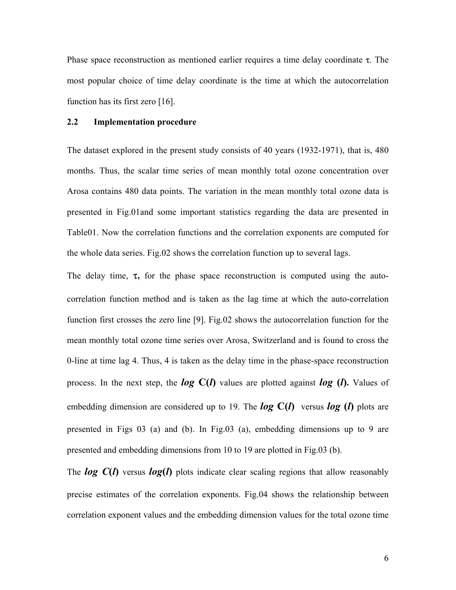Phase space reconstruction as mentioned earlier requires a time delay coordinate  $\tau$ . The most popular choice of time delay coordinate is the time at which the autocorrelation function has its first zero [16].

#### **2.2 Implementation procedure**

The dataset explored in the present study consists of 40 years (1932-1971), that is, 480 months. Thus, the scalar time series of mean monthly total ozone concentration over Arosa contains 480 data points. The variation in the mean monthly total ozone data is presented in Fig.01and some important statistics regarding the data are presented in Table01. Now the correlation functions and the correlation exponents are computed for the whole data series. Fig.02 shows the correlation function up to several lags.

The delay time,  $\tau$ , for the phase space reconstruction is computed using the autocorrelation function method and is taken as the lag time at which the auto-correlation function first crosses the zero line [9]. Fig.02 shows the autocorrelation function for the mean monthly total ozone time series over Arosa, Switzerland and is found to cross the 0-line at time lag 4. Thus, 4 is taken as the delay time in the phase-space reconstruction process. In the next step, the *log* **C(***l***)** values are plotted against *log* **(***l***).** Values of embedding dimension are considered up to 19. The  $log C(l)$  versus  $log (l)$  plots are presented in Figs 03 (a) and (b). In Fig.03 (a), embedding dimensions up to 9 are presented and embedding dimensions from 10 to 19 are plotted in Fig.03 (b).

The *log C***(***l***)** versus *log***(***l***)** plots indicate clear scaling regions that allow reasonably precise estimates of the correlation exponents. Fig.04 shows the relationship between correlation exponent values and the embedding dimension values for the total ozone time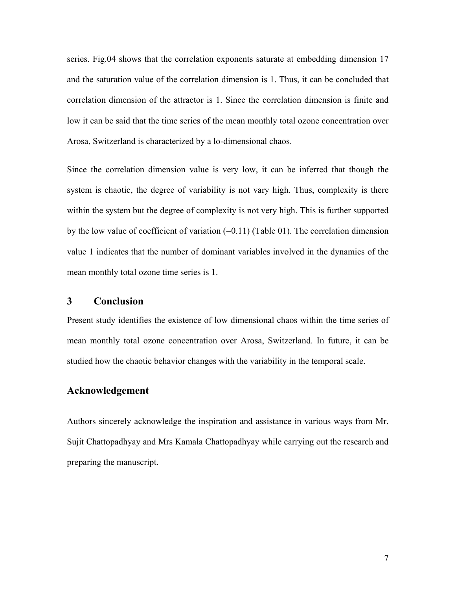series. Fig.04 shows that the correlation exponents saturate at embedding dimension 17 and the saturation value of the correlation dimension is 1. Thus, it can be concluded that correlation dimension of the attractor is 1. Since the correlation dimension is finite and low it can be said that the time series of the mean monthly total ozone concentration over Arosa, Switzerland is characterized by a lo-dimensional chaos.

Since the correlation dimension value is very low, it can be inferred that though the system is chaotic, the degree of variability is not vary high. Thus, complexity is there within the system but the degree of complexity is not very high. This is further supported by the low value of coefficient of variation  $(=0.11)$  (Table 01). The correlation dimension value 1 indicates that the number of dominant variables involved in the dynamics of the mean monthly total ozone time series is 1.

### **3 Conclusion**

Present study identifies the existence of low dimensional chaos within the time series of mean monthly total ozone concentration over Arosa, Switzerland. In future, it can be studied how the chaotic behavior changes with the variability in the temporal scale.

# **Acknowledgement**

Authors sincerely acknowledge the inspiration and assistance in various ways from Mr. Sujit Chattopadhyay and Mrs Kamala Chattopadhyay while carrying out the research and preparing the manuscript.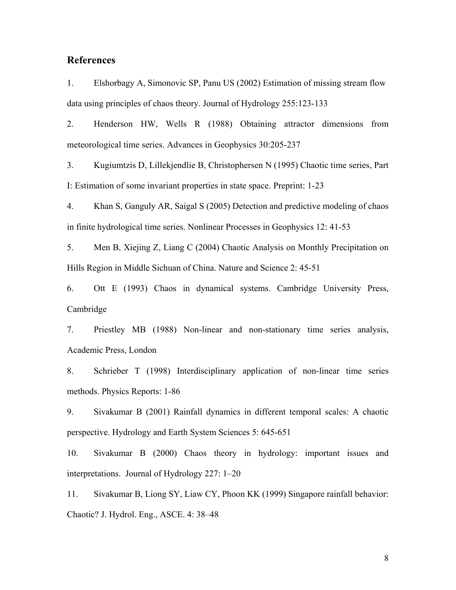## **References**

1. Elshorbagy A, Simonovic SP, Panu US (2002) Estimation of missing stream flow data using principles of chaos theory. Journal of Hydrology 255:123-133

2. Henderson HW, Wells R (1988) Obtaining attractor dimensions from meteorological time series. Advances in Geophysics 30:205-237

3. Kugiumtzis D, Lillekjendlie B, Christophersen N (1995) Chaotic time series, Part I: Estimation of some invariant properties in state space. Preprint: 1-23

4. Khan S, Ganguly AR, Saigal S (2005) Detection and predictive modeling of chaos in finite hydrological time series. Nonlinear Processes in Geophysics 12: 41-53

5. Men B, Xiejing Z, Liang C (2004) Chaotic Analysis on Monthly Precipitation on Hills Region in Middle Sichuan of China. Nature and Science 2: 45-51

6. Ott E (1993) Chaos in dynamical systems. Cambridge University Press, Cambridge

7. Priestley MB (1988) Non-linear and non-stationary time series analysis, Academic Press, London

8. Schrieber T (1998) Interdisciplinary application of non-linear time series methods. Physics Reports: 1-86

9. Sivakumar B (2001) Rainfall dynamics in different temporal scales: A chaotic perspective. Hydrology and Earth System Sciences 5: 645-651

10. Sivakumar B (2000) Chaos theory in hydrology: important issues and interpretations. Journal of Hydrology 227: 1–20

11. Sivakumar B, Liong SY, Liaw CY, Phoon KK (1999) Singapore rainfall behavior: Chaotic? J. Hydrol. Eng., ASCE. 4: 38–48

8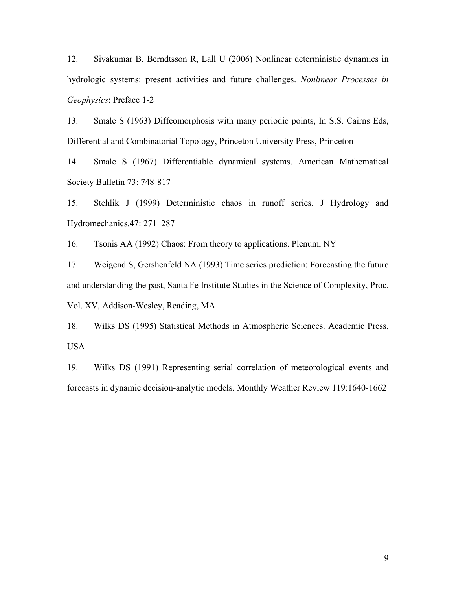12. Sivakumar B, Berndtsson R, Lall U (2006) Nonlinear deterministic dynamics in hydrologic systems: present activities and future challenges. *Nonlinear Processes in Geophysics*: Preface 1-2

13. Smale S (1963) Diffeomorphosis with many periodic points, In S.S. Cairns Eds, Differential and Combinatorial Topology, Princeton University Press, Princeton

14. Smale S (1967) Differentiable dynamical systems. American Mathematical Society Bulletin 73: 748-817

15. Stehlik J (1999) Deterministic chaos in runoff series. J Hydrology and Hydromechanics*.*47: 271–287

16. Tsonis AA (1992) Chaos: From theory to applications. Plenum, NY

17. Weigend S, Gershenfeld NA (1993) Time series prediction: Forecasting the future and understanding the past, Santa Fe Institute Studies in the Science of Complexity, Proc. Vol. XV, Addison-Wesley, Reading, MA

18. Wilks DS (1995) Statistical Methods in Atmospheric Sciences. Academic Press, USA

19. Wilks DS (1991) Representing serial correlation of meteorological events and forecasts in dynamic decision-analytic models. Monthly Weather Review 119:1640-1662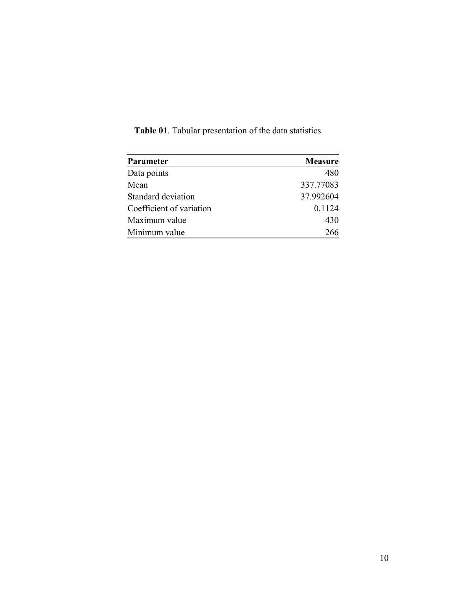| Parameter                | <b>Measure</b> |
|--------------------------|----------------|
| Data points              | 480            |
| Mean                     | 337.77083      |
| Standard deviation       | 37.992604      |
| Coefficient of variation | 0.1124         |
| Maximum value            | 430            |
| Minimum value            | 266            |

**Table 01**. Tabular presentation of the data statistics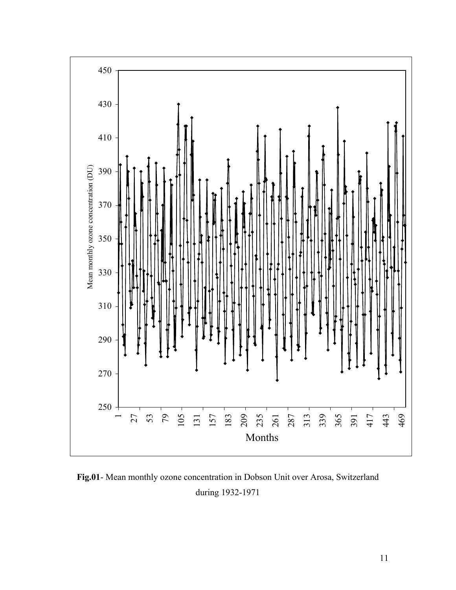

**Fig.01**- Mean monthly ozone concentration in Dobson Unit over Arosa, Switzerland during 1932-1971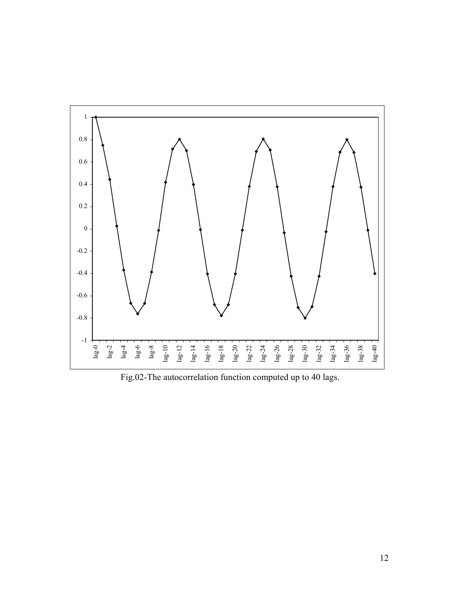

Fig.02-The autocorrelation function computed up to 40 lags.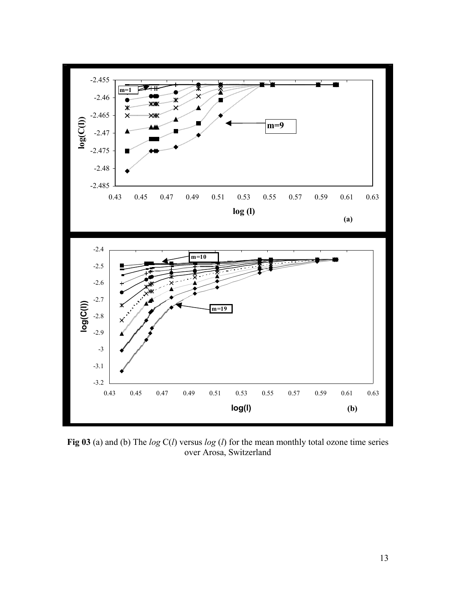

**Fig 03** (a) and (b) The *log* C(*l*) versus *log* (*l*) for the mean monthly total ozone time series over Arosa, Switzerland